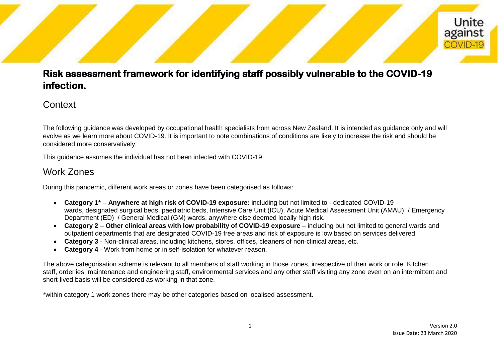## Unite against COVID-19

### **Risk assessment framework for identifying staff possibly vulnerable to the COVID-19 infection.**

#### **Context**

The following guidance was developed by occupational health specialists from across New Zealand. It is intended as guidance only and will evolve as we learn more about COVID-19. It is important to note combinations of conditions are likely to increase the risk and should be considered more conservatively.

This guidance assumes the individual has not been infected with COVID-19.

### Work Zones

During this pandemic, different work areas or zones have been categorised as follows:

- **Category 1\* Anywhere at high risk of COVID-19 exposure:** including but not limited to dedicated COVID-19 wards, designated surgical beds, paediatric beds, Intensive Care Unit (ICU), Acute Medical Assessment Unit (AMAU) / Emergency Department (ED) / General Medical (GM) wards, anywhere else deemed locally high risk.
- **Category 2 Other clinical areas with low probability of COVID-19 exposure** including but not limited to general wards and outpatient departments that are designated COVID-19 free areas and risk of exposure is low based on services delivered.
- **Category 3** Non-clinical areas, including kitchens, stores, offices, cleaners of non-clinical areas, etc.
- **Category 4** Work from home or in self-isolation for whatever reason.

The above categorisation scheme is relevant to all members of staff working in those zones, irrespective of their work or role. Kitchen staff, orderlies, maintenance and engineering staff, environmental services and any other staff visiting any zone even on an intermittent and short-lived basis will be considered as working in that zone.

\*within category 1 work zones there may be other categories based on localised assessment.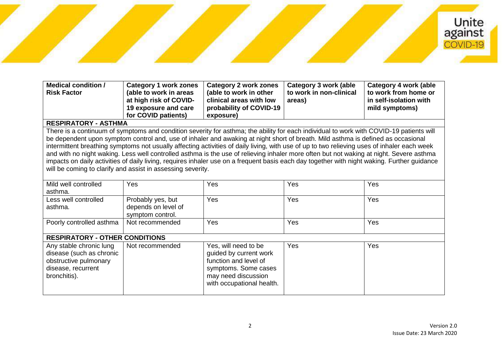# Unite<br>against COVID-19

| <b>Medical condition /</b><br><b>Risk Factor</b> | Category 1 work zones<br>(able to work in areas<br>at high risk of COVID-<br>19 exposure and care | Category 2 work zones<br>(able to work in other<br>clinical areas with low<br>probability of COVID-19 | Category 3 work (able<br>to work in non-clinical<br>areas) | Category 4 work (able<br>to work from home or<br>in self-isolation with<br>mild symptoms) |
|--------------------------------------------------|---------------------------------------------------------------------------------------------------|-------------------------------------------------------------------------------------------------------|------------------------------------------------------------|-------------------------------------------------------------------------------------------|
|                                                  | for COVID patients)                                                                               | exposure)                                                                                             |                                                            |                                                                                           |

#### **RESPIRATORY - ASTHMA**

There is a continuum of symptoms and condition severity for asthma; the ability for each individual to work with COVID-19 patients will be dependent upon symptom control and, use of inhaler and awaking at night short of breath. Mild asthma is defined as occasional intermittent breathing symptoms not usually affecting activities of daily living, with use of up to two relieving uses of inhaler each week and with no night waking. Less well controlled asthma is the use of relieving inhaler more often but not waking at night. Severe asthma impacts on daily activities of daily living, requires inhaler use on a frequent basis each day together with night waking. Further guidance will be coming to clarify and assist in assessing severity.

| Mild well controlled<br>asthma.                                                                                    | Yes                                                          | Yes                                                                                                                                                 | Yes | Yes |  |
|--------------------------------------------------------------------------------------------------------------------|--------------------------------------------------------------|-----------------------------------------------------------------------------------------------------------------------------------------------------|-----|-----|--|
| Less well controlled<br>asthma.                                                                                    | Probably yes, but<br>depends on level of<br>symptom control. | Yes                                                                                                                                                 | Yes | Yes |  |
| Poorly controlled asthma                                                                                           | Not recommended                                              | Yes                                                                                                                                                 | Yes | Yes |  |
| <b>RESPIRATORY - OTHER CONDITIONS</b>                                                                              |                                                              |                                                                                                                                                     |     |     |  |
| Any stable chronic lung<br>disease (such as chronic<br>obstructive pulmonary<br>disease, recurrent<br>bronchitis). | Not recommended                                              | Yes, will need to be<br>guided by current work<br>function and level of<br>symptoms. Some cases<br>may need discussion<br>with occupational health. | Yes | Yes |  |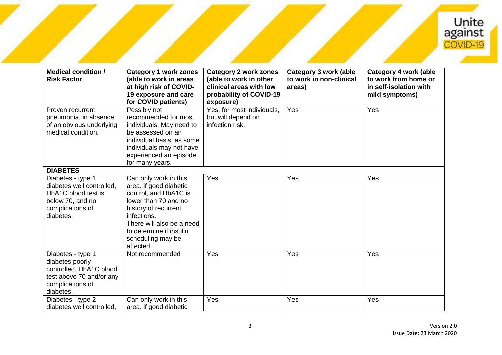

| <b>Medical condition /</b><br><b>Risk Factor</b>                                                                             | <b>Category 1 work zones</b><br>(able to work in areas<br>at high risk of COVID-<br>19 exposure and care<br>for COVID patients)                                                                                                   | <b>Category 2 work zones</b><br>(able to work in other<br>clinical areas with low<br>probability of COVID-19<br>exposure) | <b>Category 3 work (able</b><br>to work in non-clinical<br>areas) | <b>Category 4 work (able</b><br>to work from home or<br>in self-isolation with<br>mild symptoms) |
|------------------------------------------------------------------------------------------------------------------------------|-----------------------------------------------------------------------------------------------------------------------------------------------------------------------------------------------------------------------------------|---------------------------------------------------------------------------------------------------------------------------|-------------------------------------------------------------------|--------------------------------------------------------------------------------------------------|
| Proven recurrent<br>pneumonia, in absence<br>of an obvious underlying<br>medical condition.                                  | Possibly not<br>recommended for most<br>individuals. May need to<br>be assessed on an<br>individual basis, as some<br>individuals may not have<br>experienced an episode<br>for many years.                                       | Yes, for most individuals,<br>but will depend on<br>infection risk.                                                       | Yes                                                               | Yes                                                                                              |
| <b>DIABETES</b>                                                                                                              |                                                                                                                                                                                                                                   |                                                                                                                           |                                                                   |                                                                                                  |
| Diabetes - type 1<br>diabetes well controlled,<br>HbA1C blood test is<br>below 70, and no<br>complications of<br>diabetes.   | Can only work in this<br>area, if good diabetic<br>control, and HbA1C is<br>lower than 70 and no<br>history of recurrent<br>infections.<br>There will also be a need<br>to determine if insulin<br>scheduling may be<br>affected. | Yes                                                                                                                       | Yes                                                               | Yes                                                                                              |
| Diabetes - type 1<br>diabetes poorly<br>controlled, HbA1C blood<br>test above 70 and/or any<br>complications of<br>diabetes. | Not recommended                                                                                                                                                                                                                   | Yes                                                                                                                       | Yes                                                               | Yes                                                                                              |
| Diabetes - type 2<br>diabetes well controlled.                                                                               | Can only work in this<br>area, if good diabetic                                                                                                                                                                                   | Yes                                                                                                                       | Yes                                                               | Yes                                                                                              |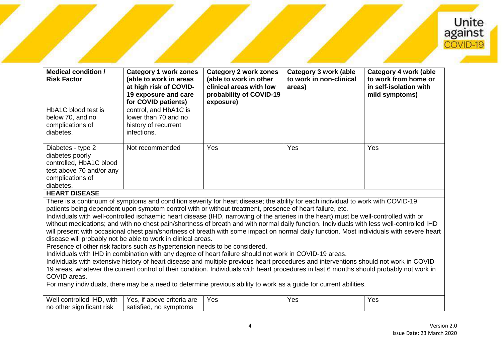

| <b>Medical condition /</b><br><b>Risk Factor</b>                                                                                                                                                                                                                                                                                                                                                                                                                                                                                                                                                                                                                                                                                                                                                                                                                                                                                                                                                                                                                                                                                                                                                                                                  | <b>Category 1 work zones</b><br>(able to work in areas<br>at high risk of COVID-<br>19 exposure and care<br>for COVID patients) | <b>Category 2 work zones</b><br>(able to work in other<br>clinical areas with low<br>probability of COVID-19<br>exposure) | <b>Category 3 work (able</b><br>to work in non-clinical<br>areas) | <b>Category 4 work (able</b><br>to work from home or<br>in self-isolation with<br>mild symptoms) |
|---------------------------------------------------------------------------------------------------------------------------------------------------------------------------------------------------------------------------------------------------------------------------------------------------------------------------------------------------------------------------------------------------------------------------------------------------------------------------------------------------------------------------------------------------------------------------------------------------------------------------------------------------------------------------------------------------------------------------------------------------------------------------------------------------------------------------------------------------------------------------------------------------------------------------------------------------------------------------------------------------------------------------------------------------------------------------------------------------------------------------------------------------------------------------------------------------------------------------------------------------|---------------------------------------------------------------------------------------------------------------------------------|---------------------------------------------------------------------------------------------------------------------------|-------------------------------------------------------------------|--------------------------------------------------------------------------------------------------|
| HbA1C blood test is                                                                                                                                                                                                                                                                                                                                                                                                                                                                                                                                                                                                                                                                                                                                                                                                                                                                                                                                                                                                                                                                                                                                                                                                                               | control, and HbA1C is                                                                                                           |                                                                                                                           |                                                                   |                                                                                                  |
| below 70, and no                                                                                                                                                                                                                                                                                                                                                                                                                                                                                                                                                                                                                                                                                                                                                                                                                                                                                                                                                                                                                                                                                                                                                                                                                                  | lower than 70 and no                                                                                                            |                                                                                                                           |                                                                   |                                                                                                  |
| complications of                                                                                                                                                                                                                                                                                                                                                                                                                                                                                                                                                                                                                                                                                                                                                                                                                                                                                                                                                                                                                                                                                                                                                                                                                                  | history of recurrent                                                                                                            |                                                                                                                           |                                                                   |                                                                                                  |
| diabetes.                                                                                                                                                                                                                                                                                                                                                                                                                                                                                                                                                                                                                                                                                                                                                                                                                                                                                                                                                                                                                                                                                                                                                                                                                                         | infections.                                                                                                                     |                                                                                                                           |                                                                   |                                                                                                  |
| Diabetes - type 2                                                                                                                                                                                                                                                                                                                                                                                                                                                                                                                                                                                                                                                                                                                                                                                                                                                                                                                                                                                                                                                                                                                                                                                                                                 | Not recommended                                                                                                                 | Yes                                                                                                                       | Yes                                                               | Yes                                                                                              |
| diabetes poorly                                                                                                                                                                                                                                                                                                                                                                                                                                                                                                                                                                                                                                                                                                                                                                                                                                                                                                                                                                                                                                                                                                                                                                                                                                   |                                                                                                                                 |                                                                                                                           |                                                                   |                                                                                                  |
| controlled, HbA1C blood                                                                                                                                                                                                                                                                                                                                                                                                                                                                                                                                                                                                                                                                                                                                                                                                                                                                                                                                                                                                                                                                                                                                                                                                                           |                                                                                                                                 |                                                                                                                           |                                                                   |                                                                                                  |
| test above 70 and/or any                                                                                                                                                                                                                                                                                                                                                                                                                                                                                                                                                                                                                                                                                                                                                                                                                                                                                                                                                                                                                                                                                                                                                                                                                          |                                                                                                                                 |                                                                                                                           |                                                                   |                                                                                                  |
| complications of                                                                                                                                                                                                                                                                                                                                                                                                                                                                                                                                                                                                                                                                                                                                                                                                                                                                                                                                                                                                                                                                                                                                                                                                                                  |                                                                                                                                 |                                                                                                                           |                                                                   |                                                                                                  |
| diabetes.                                                                                                                                                                                                                                                                                                                                                                                                                                                                                                                                                                                                                                                                                                                                                                                                                                                                                                                                                                                                                                                                                                                                                                                                                                         |                                                                                                                                 |                                                                                                                           |                                                                   |                                                                                                  |
| <b>HEART DISEASE</b>                                                                                                                                                                                                                                                                                                                                                                                                                                                                                                                                                                                                                                                                                                                                                                                                                                                                                                                                                                                                                                                                                                                                                                                                                              |                                                                                                                                 |                                                                                                                           |                                                                   |                                                                                                  |
| There is a continuum of symptoms and condition severity for heart disease; the ability for each individual to work with COVID-19<br>patients being dependent upon symptom control with or without treatment, presence of heart failure, etc.<br>Individuals with well-controlled ischaemic heart disease (IHD, narrowing of the arteries in the heart) must be well-controlled with or<br>without medications; and with no chest pain/shortness of breath and with normal daily function. Individuals with less well-controlled IHD<br>will present with occasional chest pain/shortness of breath with some impact on normal daily function. Most individuals with severe heart<br>disease will probably not be able to work in clinical areas.<br>Presence of other risk factors such as hypertension needs to be considered.<br>Individuals with IHD in combination with any degree of heart failure should not work in COVID-19 areas.<br>Individuals with extensive history of heart disease and multiple previous heart procedures and interventions should not work in COVID-<br>19 areas, whatever the current control of their condition. Individuals with heart procedures in last 6 months should probably not work in<br>COVID areas. |                                                                                                                                 |                                                                                                                           |                                                                   |                                                                                                  |
| For many individuals, there may be a need to determine previous ability to work as a guide for current abilities.                                                                                                                                                                                                                                                                                                                                                                                                                                                                                                                                                                                                                                                                                                                                                                                                                                                                                                                                                                                                                                                                                                                                 |                                                                                                                                 |                                                                                                                           |                                                                   |                                                                                                  |

| Wel.<br><br>.<br>controlled IHD<br>with | $\cdot$ $\cdot$<br>are<br>Yes.<br>criteria<br>above | Yes | Yes | $V \cap C$<br>62 |
|-----------------------------------------|-----------------------------------------------------|-----|-----|------------------|
| .<br>significant i<br>⊩no other<br>risk | . .<br>svmptoms<br>satisfied.<br>no                 |     |     |                  |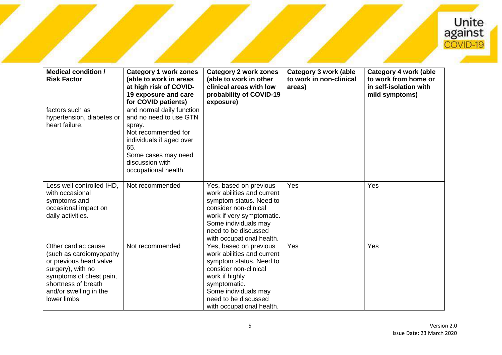

| <b>Medical condition /</b><br><b>Risk Factor</b>                                                                                                                                           | <b>Category 1 work zones</b><br>(able to work in areas<br>at high risk of COVID-<br>19 exposure and care<br>for COVID patients)                                                           | <b>Category 2 work zones</b><br>(able to work in other<br>clinical areas with low<br>probability of COVID-19<br>exposure)                                                                                               | <b>Category 3 work (able</b><br>to work in non-clinical<br>areas) | <b>Category 4 work (able</b><br>to work from home or<br>in self-isolation with<br>mild symptoms) |
|--------------------------------------------------------------------------------------------------------------------------------------------------------------------------------------------|-------------------------------------------------------------------------------------------------------------------------------------------------------------------------------------------|-------------------------------------------------------------------------------------------------------------------------------------------------------------------------------------------------------------------------|-------------------------------------------------------------------|--------------------------------------------------------------------------------------------------|
| factors such as<br>hypertension, diabetes or<br>heart failure.                                                                                                                             | and normal daily function<br>and no need to use GTN<br>spray.<br>Not recommended for<br>individuals if aged over<br>65.<br>Some cases may need<br>discussion with<br>occupational health. |                                                                                                                                                                                                                         |                                                                   |                                                                                                  |
| Less well controlled IHD,<br>with occasional<br>symptoms and<br>occasional impact on<br>daily activities.                                                                                  | Not recommended                                                                                                                                                                           | Yes, based on previous<br>work abilities and current<br>symptom status. Need to<br>consider non-clinical<br>work if very symptomatic.<br>Some individuals may<br>need to be discussed<br>with occupational health.      | Yes                                                               | Yes                                                                                              |
| Other cardiac cause<br>(such as cardiomyopathy<br>or previous heart valve<br>surgery), with no<br>symptoms of chest pain,<br>shortness of breath<br>and/or swelling in the<br>lower limbs. | Not recommended                                                                                                                                                                           | Yes, based on previous<br>work abilities and current<br>symptom status. Need to<br>consider non-clinical<br>work if highly<br>symptomatic.<br>Some individuals may<br>need to be discussed<br>with occupational health. | Yes                                                               | Yes                                                                                              |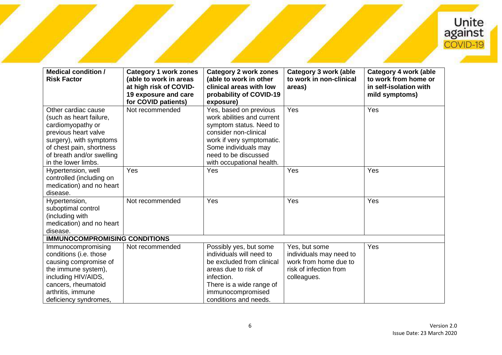

| <b>Medical condition /</b><br><b>Risk Factor</b>                                                                                                                                                       | <b>Category 1 work zones</b><br>(able to work in areas<br>at high risk of COVID-<br>19 exposure and care<br>for COVID patients) | <b>Category 2 work zones</b><br>(able to work in other<br>clinical areas with low<br>probability of COVID-19<br>exposure)                                                                                          | <b>Category 3 work (able</b><br>to work in non-clinical<br>areas)                                          | Category 4 work (able<br>to work from home or<br>in self-isolation with<br>mild symptoms) |  |
|--------------------------------------------------------------------------------------------------------------------------------------------------------------------------------------------------------|---------------------------------------------------------------------------------------------------------------------------------|--------------------------------------------------------------------------------------------------------------------------------------------------------------------------------------------------------------------|------------------------------------------------------------------------------------------------------------|-------------------------------------------------------------------------------------------|--|
| Other cardiac cause<br>(such as heart failure,<br>cardiomyopathy or<br>previous heart valve<br>surgery), with symptoms<br>of chest pain, shortness<br>of breath and/or swelling<br>in the lower limbs. | Not recommended                                                                                                                 | Yes, based on previous<br>work abilities and current<br>symptom status. Need to<br>consider non-clinical<br>work if very symptomatic.<br>Some individuals may<br>need to be discussed<br>with occupational health. | Yes                                                                                                        | Yes                                                                                       |  |
| Hypertension, well<br>controlled (including on<br>medication) and no heart<br>disease.                                                                                                                 | Yes                                                                                                                             | Yes                                                                                                                                                                                                                | Yes                                                                                                        | Yes                                                                                       |  |
| Hypertension,<br>suboptimal control<br>(including with<br>medication) and no heart<br>disease.                                                                                                         | Not recommended                                                                                                                 | Yes                                                                                                                                                                                                                | Yes                                                                                                        | Yes                                                                                       |  |
| <b>IMMUNOCOMPROMISING CONDITIONS</b>                                                                                                                                                                   |                                                                                                                                 |                                                                                                                                                                                                                    |                                                                                                            |                                                                                           |  |
| Immunocompromising<br>conditions (i.e. those<br>causing compromise of<br>the immune system),<br>including HIV/AIDS,<br>cancers, rheumatoid<br>arthritis, immune<br>deficiency syndromes,               | Not recommended                                                                                                                 | Possibly yes, but some<br>individuals will need to<br>be excluded from clinical<br>areas due to risk of<br>infection.<br>There is a wide range of<br>immunocompromised<br>conditions and needs.                    | Yes, but some<br>individuals may need to<br>work from home due to<br>risk of infection from<br>colleagues. | Yes                                                                                       |  |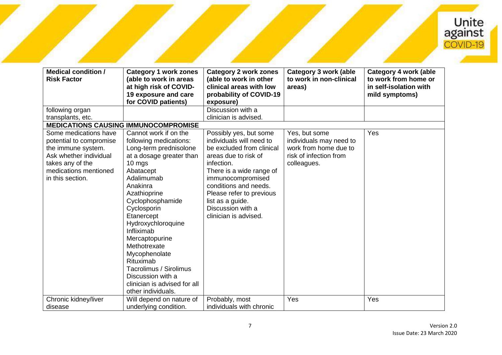

| Discussion with a<br>following organ<br>clinician is advised.<br>transplants, etc.<br><b>MEDICATIONS CAUSING IMMUNOCOMPROMISE</b><br>Some medications have<br>Possibly yes, but some<br>Cannot work if on the<br>Yes, but some<br>Yes<br>individuals will need to<br>following medications:<br>individuals may need to<br>potential to compromise<br>work from home due to<br>the immune system.<br>Long-term prednisolone<br>be excluded from clinical<br>Ask whether individual<br>at a dosage greater than<br>risk of infection from<br>areas due to risk of<br>takes any of the<br>10 mgs<br>infection.<br>colleagues. | <b>Medical condition /</b><br><b>Risk Factor</b> | <b>Category 1 work zones</b><br>(able to work in areas<br>at high risk of COVID-<br>19 exposure and care<br>for COVID patients) | <b>Category 2 work zones</b><br>(able to work in other<br>clinical areas with low<br>probability of COVID-19<br>exposure) | <b>Category 3 work (able</b><br>to work in non-clinical<br>areas) | <b>Category 4 work (able</b><br>to work from home or<br>in self-isolation with<br>mild symptoms) |
|----------------------------------------------------------------------------------------------------------------------------------------------------------------------------------------------------------------------------------------------------------------------------------------------------------------------------------------------------------------------------------------------------------------------------------------------------------------------------------------------------------------------------------------------------------------------------------------------------------------------------|--------------------------------------------------|---------------------------------------------------------------------------------------------------------------------------------|---------------------------------------------------------------------------------------------------------------------------|-------------------------------------------------------------------|--------------------------------------------------------------------------------------------------|
|                                                                                                                                                                                                                                                                                                                                                                                                                                                                                                                                                                                                                            |                                                  |                                                                                                                                 |                                                                                                                           |                                                                   |                                                                                                  |
|                                                                                                                                                                                                                                                                                                                                                                                                                                                                                                                                                                                                                            |                                                  |                                                                                                                                 |                                                                                                                           |                                                                   |                                                                                                  |
| in this section.<br>Adalimumab<br>immunocompromised<br>conditions and needs.<br>Anakinra<br>Azathioprine<br>Please refer to previous<br>Cyclophosphamide<br>list as a guide.<br>Discussion with a<br>Cyclosporin<br>Etanercept<br>clinician is advised.<br>Hydroxychloroquine<br>Infliximab<br>Mercaptopurine<br>Methotrexate<br>Mycophenolate<br>Rituximab<br>Tacrolimus / Sirolimus<br>Discussion with a<br>clinician is advised for all<br>other individuals.                                                                                                                                                           | medications mentioned                            | Abatacept                                                                                                                       | There is a wide range of                                                                                                  |                                                                   |                                                                                                  |
| Yes<br>Yes<br>Chronic kidney/liver<br>Probably, most<br>Will depend on nature of<br>underlying condition.<br>individuals with chronic<br>disease                                                                                                                                                                                                                                                                                                                                                                                                                                                                           |                                                  |                                                                                                                                 |                                                                                                                           |                                                                   |                                                                                                  |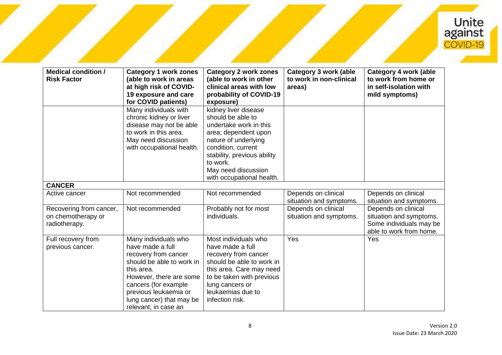

| <b>Medical condition /</b><br><b>Risk Factor</b>               | <b>Category 1 work zones</b><br>(able to work in areas<br>at high risk of COVID-<br>19 exposure and care<br>for COVID patients)                                                                                                             | <b>Category 2 work zones</b><br>(able to work in other<br>clinical areas with low<br>probability of COVID-19<br>exposure)                                                                                                                | <b>Category 3 work (able</b><br>to work in non-clinical<br>areas) | <b>Category 4 work (able</b><br>to work from home or<br>in self-isolation with<br>mild symptoms)     |
|----------------------------------------------------------------|---------------------------------------------------------------------------------------------------------------------------------------------------------------------------------------------------------------------------------------------|------------------------------------------------------------------------------------------------------------------------------------------------------------------------------------------------------------------------------------------|-------------------------------------------------------------------|------------------------------------------------------------------------------------------------------|
|                                                                | Many individuals with<br>chronic kidney or liver<br>disease may not be able<br>to work in this area.<br>May need discussion<br>with occupational health.                                                                                    | kidney liver disease<br>should be able to<br>undertake work in this<br>area; dependent upon<br>nature of underlying<br>condition, current<br>stability, previous ability<br>to work.<br>May need discussion<br>with occupational health. |                                                                   |                                                                                                      |
| <b>CANCER</b>                                                  |                                                                                                                                                                                                                                             |                                                                                                                                                                                                                                          |                                                                   |                                                                                                      |
| Active cancer                                                  | Not recommended                                                                                                                                                                                                                             | Not recommended                                                                                                                                                                                                                          | Depends on clinical<br>situation and symptoms.                    | Depends on clinical<br>situation and symptoms.                                                       |
| Recovering from cancer,<br>on chemotherapy or<br>radiotherapy. | Not recommended                                                                                                                                                                                                                             | Probably not for most<br>individuals.                                                                                                                                                                                                    | Depends on clinical<br>situation and symptoms.                    | Depends on clinical<br>situation and symptoms.<br>Some individuals may be<br>able to work from home. |
| Full recovery from<br>previous cancer.                         | Many individuals who<br>have made a full<br>recovery from cancer<br>should be able to work in<br>this area.<br>However, there are some<br>cancers (for example<br>previous leukaemia or<br>lung cancer) that may be<br>relevant, in case an | Most individuals who<br>have made a full<br>recovery from cancer<br>should be able to work in<br>this area. Care may need<br>to be taken with previous<br>lung cancers or<br>leukaemias due to<br>infection risk.                        | Yes                                                               | Yes                                                                                                  |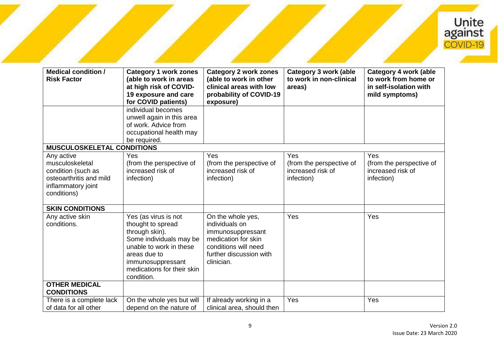

| <b>Medical condition /</b><br><b>Risk Factor</b>                                                                    | <b>Category 1 work zones</b><br>(able to work in areas<br>at high risk of COVID-<br>19 exposure and care<br>for COVID patients)                                                                    | <b>Category 2 work zones</b><br>(able to work in other<br>clinical areas with low<br>probability of COVID-19<br>exposure)                        | <b>Category 3 work (able</b><br>to work in non-clinical<br>areas)  | <b>Category 4 work (able</b><br>to work from home or<br>in self-isolation with<br>mild symptoms) |
|---------------------------------------------------------------------------------------------------------------------|----------------------------------------------------------------------------------------------------------------------------------------------------------------------------------------------------|--------------------------------------------------------------------------------------------------------------------------------------------------|--------------------------------------------------------------------|--------------------------------------------------------------------------------------------------|
|                                                                                                                     | individual becomes<br>unwell again in this area<br>of work. Advice from<br>occupational health may<br>be required.                                                                                 |                                                                                                                                                  |                                                                    |                                                                                                  |
| <b>MUSCULOSKELETAL CONDITIONS</b>                                                                                   |                                                                                                                                                                                                    |                                                                                                                                                  |                                                                    |                                                                                                  |
| Any active<br>musculoskeletal<br>condition (such as<br>osteoarthritis and mild<br>inflammatory joint<br>conditions) | Yes<br>(from the perspective of<br>increased risk of<br>infection)                                                                                                                                 | Yes<br>(from the perspective of<br>increased risk of<br>infection)                                                                               | Yes<br>(from the perspective of<br>increased risk of<br>infection) | <b>Yes</b><br>(from the perspective of<br>increased risk of<br>infection)                        |
| <b>SKIN CONDITIONS</b>                                                                                              |                                                                                                                                                                                                    |                                                                                                                                                  |                                                                    |                                                                                                  |
| Any active skin<br>conditions.                                                                                      | Yes (as virus is not<br>thought to spread<br>through skin).<br>Some individuals may be<br>unable to work in these<br>areas due to<br>immunosuppressant<br>medications for their skin<br>condition. | On the whole yes,<br>individuals on<br>immunosuppressant<br>medication for skin<br>conditions will need<br>further discussion with<br>clinician. | Yes                                                                | Yes                                                                                              |
| <b>OTHER MEDICAL</b><br><b>CONDITIONS</b>                                                                           |                                                                                                                                                                                                    |                                                                                                                                                  |                                                                    |                                                                                                  |
| There is a complete lack<br>of data for all other                                                                   | On the whole yes but will<br>depend on the nature of                                                                                                                                               | If already working in a<br>clinical area, should then                                                                                            | Yes                                                                | Yes                                                                                              |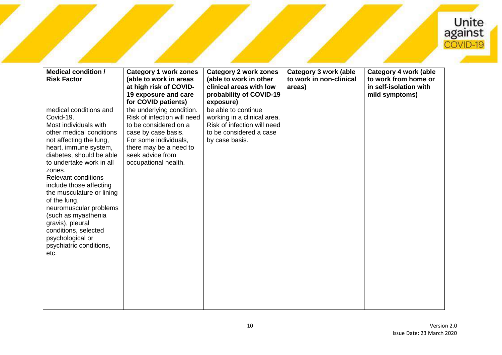

| <b>Medical condition /</b><br><b>Risk Factor</b>                                                                                                                                                                                                                                                                                                                                                                                                                         | <b>Category 1 work zones</b><br>(able to work in areas<br>at high risk of COVID-<br>19 exposure and care<br>for COVID patients)                                                                         | <b>Category 2 work zones</b><br>(able to work in other<br>clinical areas with low<br>probability of COVID-19<br>exposure)      | <b>Category 3 work (able</b><br>to work in non-clinical<br>areas) | Category 4 work (able<br>to work from home or<br>in self-isolation with<br>mild symptoms) |
|--------------------------------------------------------------------------------------------------------------------------------------------------------------------------------------------------------------------------------------------------------------------------------------------------------------------------------------------------------------------------------------------------------------------------------------------------------------------------|---------------------------------------------------------------------------------------------------------------------------------------------------------------------------------------------------------|--------------------------------------------------------------------------------------------------------------------------------|-------------------------------------------------------------------|-------------------------------------------------------------------------------------------|
| medical conditions and<br>Covid-19.<br>Most individuals with<br>other medical conditions<br>not affecting the lung,<br>heart, immune system,<br>diabetes, should be able<br>to undertake work in all<br>zones.<br><b>Relevant conditions</b><br>include those affecting<br>the musculature or lining<br>of the lung,<br>neuromuscular problems<br>(such as myasthenia<br>gravis), pleural<br>conditions, selected<br>psychological or<br>psychiatric conditions,<br>etc. | the underlying condition.<br>Risk of infection will need<br>to be considered on a<br>case by case basis.<br>For some individuals,<br>there may be a need to<br>seek advice from<br>occupational health. | be able to continue<br>working in a clinical area.<br>Risk of infection will need<br>to be considered a case<br>by case basis. |                                                                   |                                                                                           |